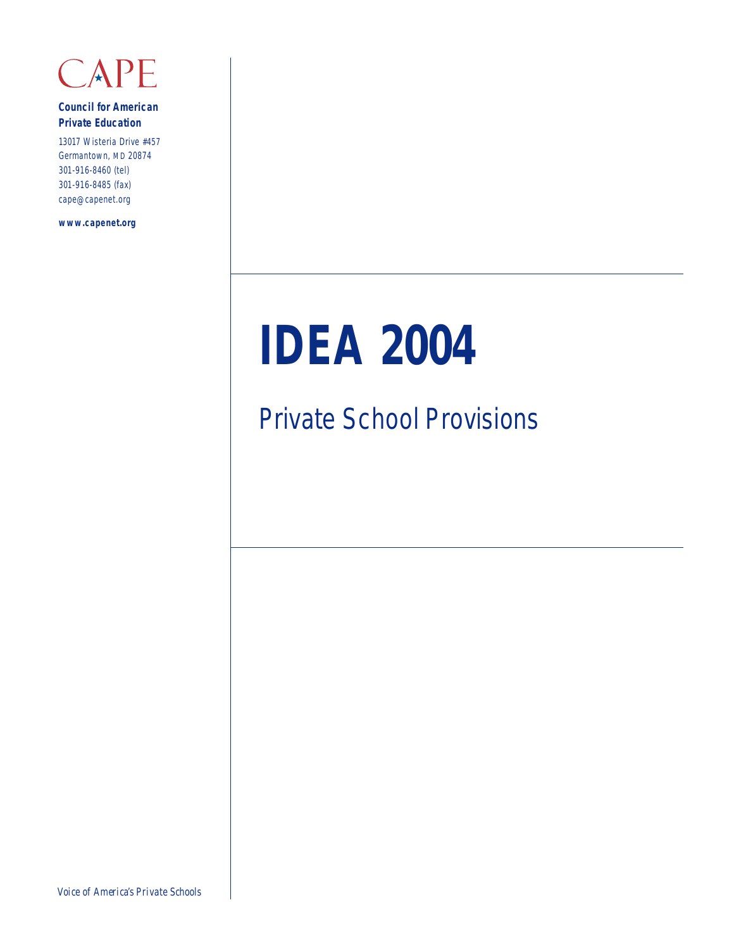# CAPE

**Council for American Private Education**

13017 Wisteria Drive #457 Germantown, MD 20874 301-916-8460 (tel) 301-916-8485 (fax) cape@capenet.org

**www.capenet.org**

# **IDEA 2004**

## Private School Provisions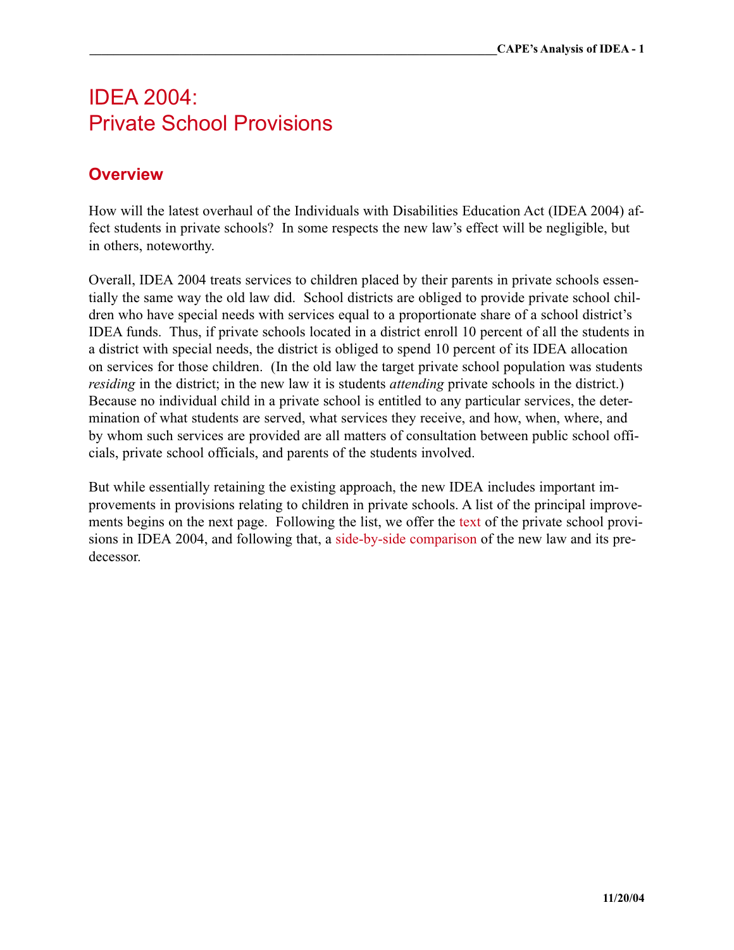### IDEA 2004: Private School Provisions

#### **Overview**

How will the latest overhaul of the Individuals with Disabilities Education Act (IDEA 2004) affect students in private schools? In some respects the new law's effect will be negligible, but in others, noteworthy.

Overall, IDEA 2004 treats services to children placed by their parents in private schools essentially the same way the old law did. School districts are obliged to provide private school children who have special needs with services equal to a proportionate share of a school district's IDEA funds. Thus, if private schools located in a district enroll 10 percent of all the students in a district with special needs, the district is obliged to spend 10 percent of its IDEA allocation on services for those children. (In the old law the target private school population was students *residing* in the district; in the new law it is students *attending* private schools in the district.) Because no individual child in a private school is entitled to any particular services, the determination of what students are served, what services they receive, and how, when, where, and by whom such services are provided are all matters of consultation between public school officials, private school officials, and parents of the students involved.

But while essentially retaining the existing approach, the new IDEA includes important improvements in provisions relating to children in private schools. A list of the principal improvements begins on the next page. Following the list, we offer the [text](#page-4-0) of the private school provisions in IDEA 2004, and following that, a [side-by-side comparison](#page-8-0) of the new law and its predecessor.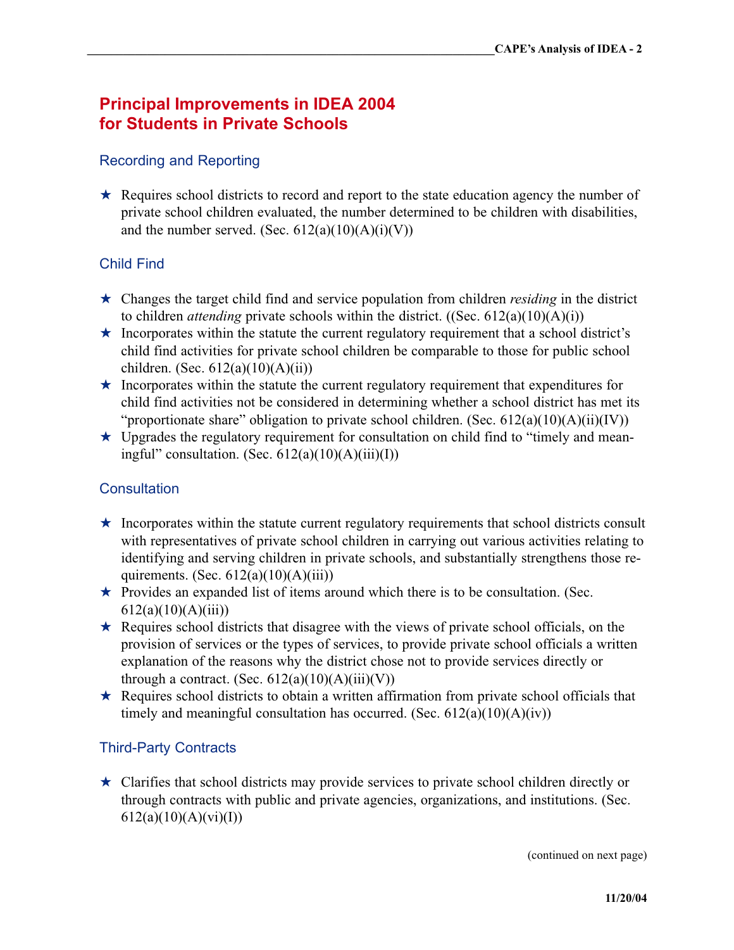#### **Principal Improvements in IDEA 2004 for Students in Private Schools**

#### Recording and Reporting

★ Requires school districts to record and report to the state education agency the number of private school children evaluated, the number determined to be children with disabilities, and the number served. (Sec.  $612(a)(10)(A)(i)(V)$ )

#### Child Find

- ★ Changes the target child find and service population from children *residing* in the district to children *attending* private schools within the district. ((Sec. 612(a)(10)(A)(i))
- $\star$  Incorporates within the statute the current regulatory requirement that a school district's child find activities for private school children be comparable to those for public school children. (Sec.  $612(a)(10)(A)(ii)$ )
- $\star$  Incorporates within the statute the current regulatory requirement that expenditures for child find activities not be considered in determining whether a school district has met its "proportionate share" obligation to private school children. (Sec.  $612(a)(10)(A)(ii)(IV)$ )
- ★ Upgrades the regulatory requirement for consultation on child find to "timely and meaningful" consultation. (Sec.  $612(a)(10)(A)(iii)(I))$

#### **Consultation**

- ★ Incorporates within the statute current regulatory requirements that school districts consult with representatives of private school children in carrying out various activities relating to identifying and serving children in private schools, and substantially strengthens those requirements. (Sec.  $612(a)(10)(A)(iii)$ )
- $\star$  Provides an expanded list of items around which there is to be consultation. (Sec.  $612(a)(10)(A)(iii)$
- $\star$  Requires school districts that disagree with the views of private school officials, on the provision of services or the types of services, to provide private school officials a written explanation of the reasons why the district chose not to provide services directly or through a contract. (Sec.  $612(a)(10)(A)(iii)(V)$ )
- ★ Requires school districts to obtain a written affirmation from private school officials that timely and meaningful consultation has occurred. (Sec.  $612(a)(10)(A)(iv)$ )

#### Third-Party Contracts

★ Clarifies that school districts may provide services to private school children directly or through contracts with public and private agencies, organizations, and institutions. (Sec.  $612(a)(10)(A)(vi)(I))$ 

(continued on next page)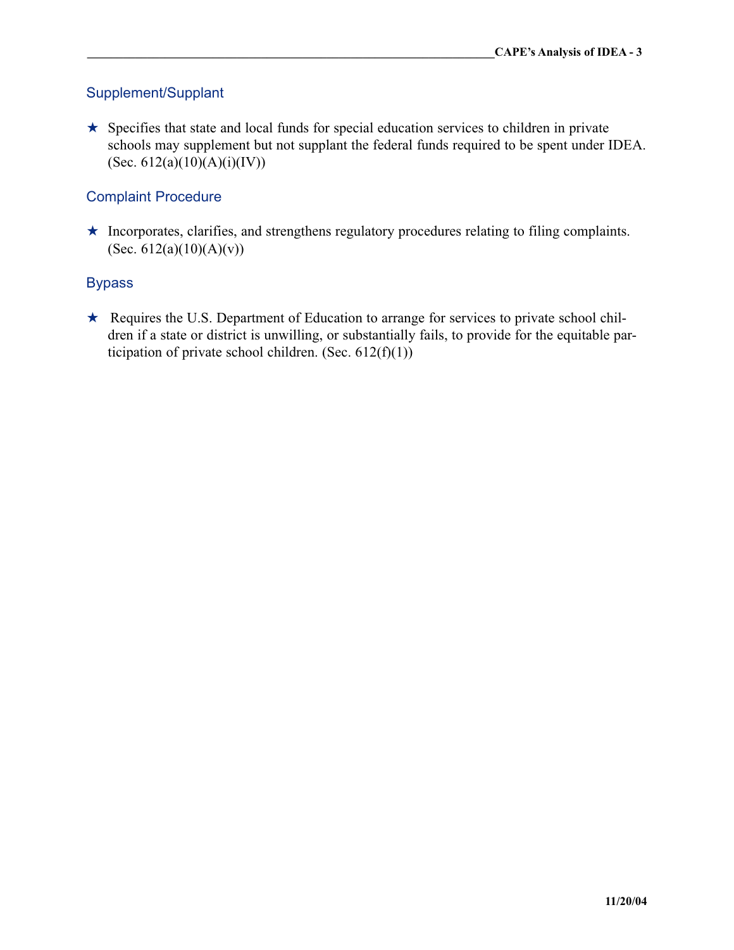#### Supplement/Supplant

 $\star$  Specifies that state and local funds for special education services to children in private schools may supplement but not supplant the federal funds required to be spent under IDEA. (Sec. 612(a)(10)(A)(i)(IV))

#### Complaint Procedure

★ Incorporates, clarifies, and strengthens regulatory procedures relating to filing complaints. (Sec. 612(a)(10)(A)(v))

#### Bypass

★ Requires the U.S. Department of Education to arrange for services to private school children if a state or district is unwilling, or substantially fails, to provide for the equitable participation of private school children. (Sec.  $612(f)(1)$ )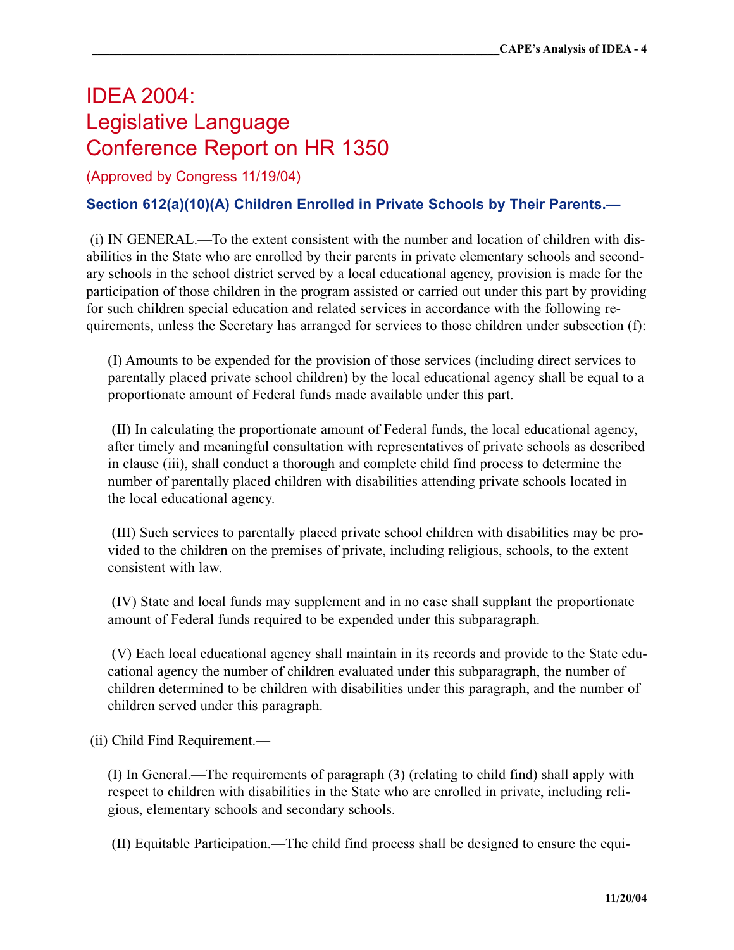## <span id="page-4-0"></span>IDEA 2004: Legislative Language Conference Report on HR 1350

(Approved by Congress 11/19/04)

#### **Section 612(a)(10)(A) Children Enrolled in Private Schools by Their Parents.—**

(i) IN GENERAL.—To the extent consistent with the number and location of children with disabilities in the State who are enrolled by their parents in private elementary schools and secondary schools in the school district served by a local educational agency, provision is made for the participation of those children in the program assisted or carried out under this part by providing for such children special education and related services in accordance with the following requirements, unless the Secretary has arranged for services to those children under subsection (f):

(I) Amounts to be expended for the provision of those services (including direct services to parentally placed private school children) by the local educational agency shall be equal to a proportionate amount of Federal funds made available under this part.

(II) In calculating the proportionate amount of Federal funds, the local educational agency, after timely and meaningful consultation with representatives of private schools as described in clause (iii), shall conduct a thorough and complete child find process to determine the number of parentally placed children with disabilities attending private schools located in the local educational agency.

(III) Such services to parentally placed private school children with disabilities may be provided to the children on the premises of private, including religious, schools, to the extent consistent with law.

(IV) State and local funds may supplement and in no case shall supplant the proportionate amount of Federal funds required to be expended under this subparagraph.

(V) Each local educational agency shall maintain in its records and provide to the State educational agency the number of children evaluated under this subparagraph, the number of children determined to be children with disabilities under this paragraph, and the number of children served under this paragraph.

(ii) Child Find Requirement.—

(I) In General.—The requirements of paragraph (3) (relating to child find) shall apply with respect to children with disabilities in the State who are enrolled in private, including religious, elementary schools and secondary schools.

(II) Equitable Participation.—The child find process shall be designed to ensure the equi-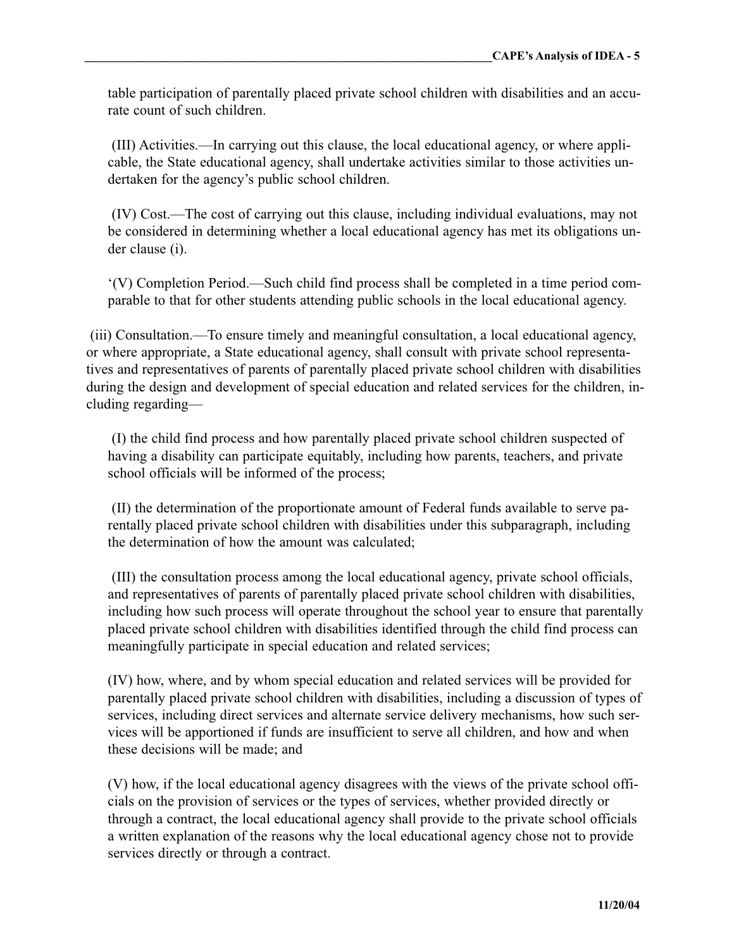table participation of parentally placed private school children with disabilities and an accurate count of such children.

(III) Activities.—In carrying out this clause, the local educational agency, or where applicable, the State educational agency, shall undertake activities similar to those activities undertaken for the agency's public school children.

(IV) Cost.—The cost of carrying out this clause, including individual evaluations, may not be considered in determining whether a local educational agency has met its obligations under clause (i).

'(V) Completion Period.—Such child find process shall be completed in a time period comparable to that for other students attending public schools in the local educational agency.

(iii) Consultation.—To ensure timely and meaningful consultation, a local educational agency, or where appropriate, a State educational agency, shall consult with private school representatives and representatives of parents of parentally placed private school children with disabilities during the design and development of special education and related services for the children, including regarding—

(I) the child find process and how parentally placed private school children suspected of having a disability can participate equitably, including how parents, teachers, and private school officials will be informed of the process;

(II) the determination of the proportionate amount of Federal funds available to serve parentally placed private school children with disabilities under this subparagraph, including the determination of how the amount was calculated;

(III) the consultation process among the local educational agency, private school officials, and representatives of parents of parentally placed private school children with disabilities, including how such process will operate throughout the school year to ensure that parentally placed private school children with disabilities identified through the child find process can meaningfully participate in special education and related services;

(IV) how, where, and by whom special education and related services will be provided for parentally placed private school children with disabilities, including a discussion of types of services, including direct services and alternate service delivery mechanisms, how such services will be apportioned if funds are insufficient to serve all children, and how and when these decisions will be made; and

(V) how, if the local educational agency disagrees with the views of the private school officials on the provision of services or the types of services, whether provided directly or through a contract, the local educational agency shall provide to the private school officials a written explanation of the reasons why the local educational agency chose not to provide services directly or through a contract.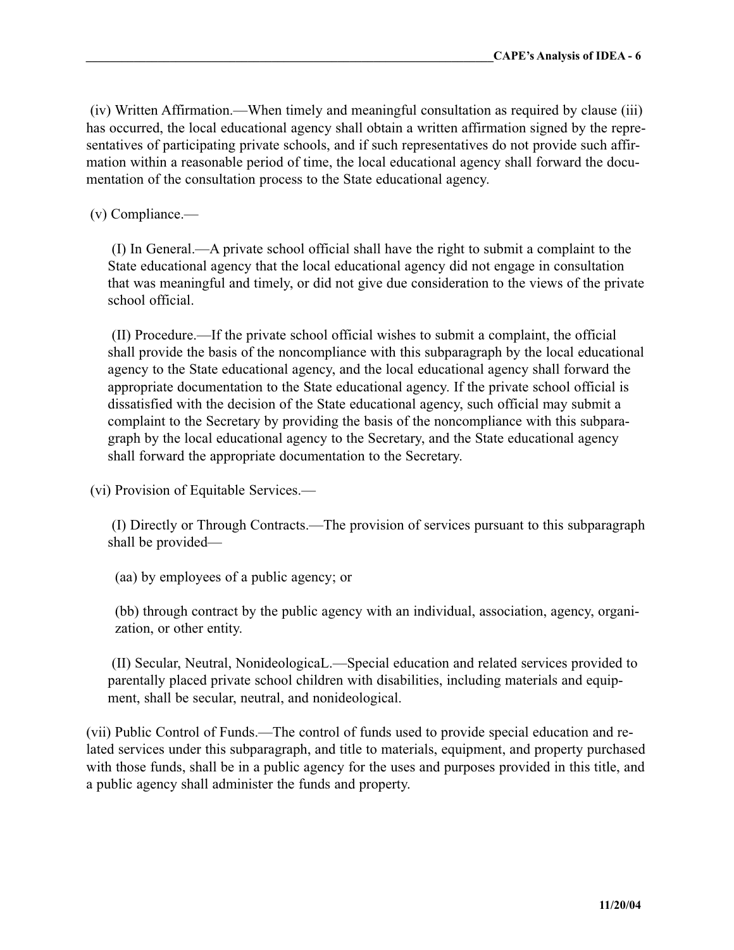(iv) Written Affirmation.—When timely and meaningful consultation as required by clause (iii) has occurred, the local educational agency shall obtain a written affirmation signed by the representatives of participating private schools, and if such representatives do not provide such affirmation within a reasonable period of time, the local educational agency shall forward the documentation of the consultation process to the State educational agency.

(v) Compliance.—

(I) In General.—A private school official shall have the right to submit a complaint to the State educational agency that the local educational agency did not engage in consultation that was meaningful and timely, or did not give due consideration to the views of the private school official.

(II) Procedure.—If the private school official wishes to submit a complaint, the official shall provide the basis of the noncompliance with this subparagraph by the local educational agency to the State educational agency, and the local educational agency shall forward the appropriate documentation to the State educational agency. If the private school official is dissatisfied with the decision of the State educational agency, such official may submit a complaint to the Secretary by providing the basis of the noncompliance with this subparagraph by the local educational agency to the Secretary, and the State educational agency shall forward the appropriate documentation to the Secretary.

(vi) Provision of Equitable Services.—

(I) Directly or Through Contracts.—The provision of services pursuant to this subparagraph shall be provided—

(aa) by employees of a public agency; or

(bb) through contract by the public agency with an individual, association, agency, organization, or other entity.

(II) Secular, Neutral, NonideologicaL.—Special education and related services provided to parentally placed private school children with disabilities, including materials and equipment, shall be secular, neutral, and nonideological.

(vii) Public Control of Funds.—The control of funds used to provide special education and related services under this subparagraph, and title to materials, equipment, and property purchased with those funds, shall be in a public agency for the uses and purposes provided in this title, and a public agency shall administer the funds and property.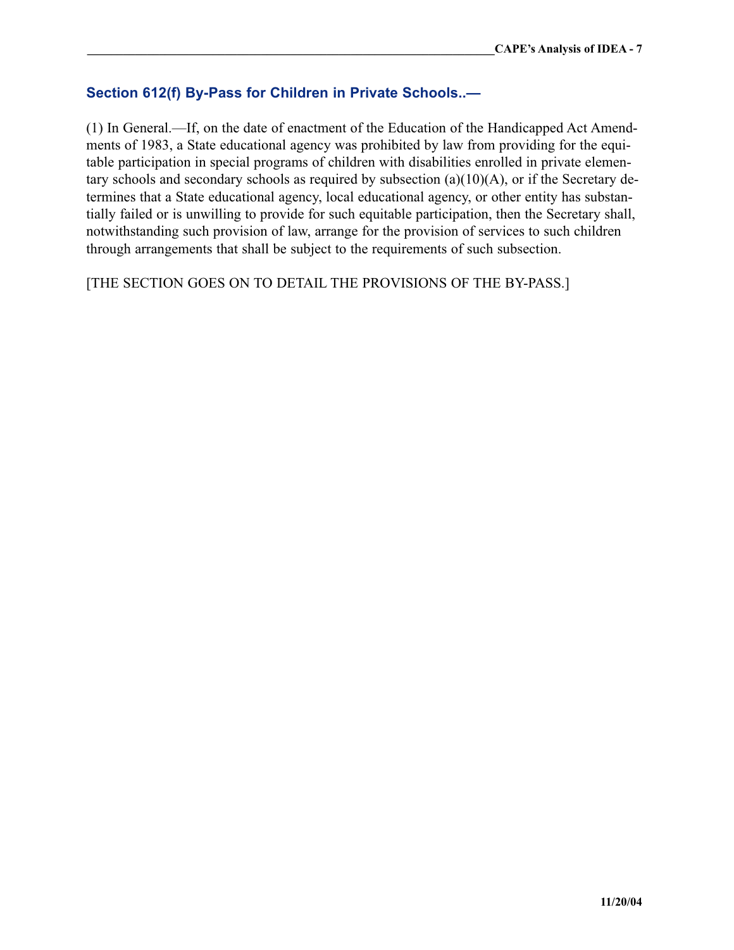#### **Section 612(f) By-Pass for Children in Private Schools..—**

(1) In General.—If, on the date of enactment of the Education of the Handicapped Act Amendments of 1983, a State educational agency was prohibited by law from providing for the equitable participation in special programs of children with disabilities enrolled in private elementary schools and secondary schools as required by subsection (a)(10)(A), or if the Secretary determines that a State educational agency, local educational agency, or other entity has substantially failed or is unwilling to provide for such equitable participation, then the Secretary shall, notwithstanding such provision of law, arrange for the provision of services to such children through arrangements that shall be subject to the requirements of such subsection.

[THE SECTION GOES ON TO DETAIL THE PROVISIONS OF THE BY-PASS.]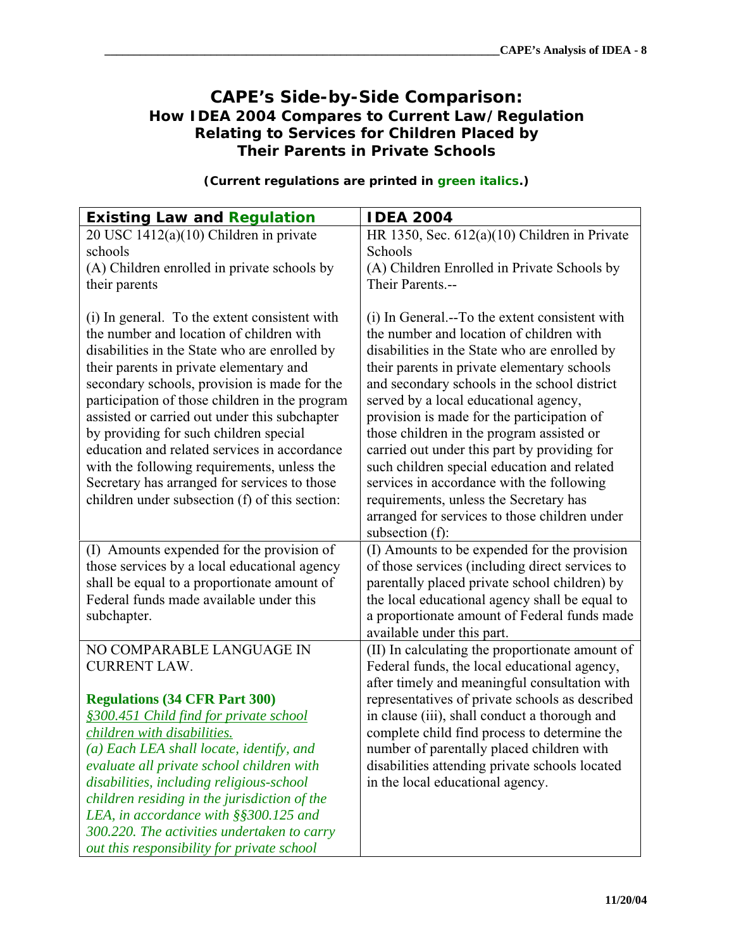#### <span id="page-8-0"></span>**CAPE's Side-by-Side Comparison: How IDEA 2004 Compares to Current Law/Regulation Relating to Services for Children Placed by Their Parents in Private Schools**

| <b>Existing Law and Regulation</b>                                                                                                                                                                                                                                                                                                                                                                                                                                                                                                                                                  | <b>IDEA 2004</b>                                                                                                                                                                                                                                                                                                                                                                                                                                                                                                                                                                                                                         |
|-------------------------------------------------------------------------------------------------------------------------------------------------------------------------------------------------------------------------------------------------------------------------------------------------------------------------------------------------------------------------------------------------------------------------------------------------------------------------------------------------------------------------------------------------------------------------------------|------------------------------------------------------------------------------------------------------------------------------------------------------------------------------------------------------------------------------------------------------------------------------------------------------------------------------------------------------------------------------------------------------------------------------------------------------------------------------------------------------------------------------------------------------------------------------------------------------------------------------------------|
| 20 USC $1412(a)(10)$ Children in private                                                                                                                                                                                                                                                                                                                                                                                                                                                                                                                                            | HR 1350, Sec. 612(a)(10) Children in Private                                                                                                                                                                                                                                                                                                                                                                                                                                                                                                                                                                                             |
| schools                                                                                                                                                                                                                                                                                                                                                                                                                                                                                                                                                                             | Schools                                                                                                                                                                                                                                                                                                                                                                                                                                                                                                                                                                                                                                  |
| (A) Children enrolled in private schools by                                                                                                                                                                                                                                                                                                                                                                                                                                                                                                                                         | (A) Children Enrolled in Private Schools by                                                                                                                                                                                                                                                                                                                                                                                                                                                                                                                                                                                              |
| their parents                                                                                                                                                                                                                                                                                                                                                                                                                                                                                                                                                                       | Their Parents.--                                                                                                                                                                                                                                                                                                                                                                                                                                                                                                                                                                                                                         |
| (i) In general. To the extent consistent with<br>the number and location of children with<br>disabilities in the State who are enrolled by<br>their parents in private elementary and<br>secondary schools, provision is made for the<br>participation of those children in the program<br>assisted or carried out under this subchapter<br>by providing for such children special<br>education and related services in accordance<br>with the following requirements, unless the<br>Secretary has arranged for services to those<br>children under subsection (f) of this section: | (i) In General.--To the extent consistent with<br>the number and location of children with<br>disabilities in the State who are enrolled by<br>their parents in private elementary schools<br>and secondary schools in the school district<br>served by a local educational agency,<br>provision is made for the participation of<br>those children in the program assisted or<br>carried out under this part by providing for<br>such children special education and related<br>services in accordance with the following<br>requirements, unless the Secretary has<br>arranged for services to those children under<br>subsection (f): |
| (I) Amounts expended for the provision of                                                                                                                                                                                                                                                                                                                                                                                                                                                                                                                                           | (I) Amounts to be expended for the provision                                                                                                                                                                                                                                                                                                                                                                                                                                                                                                                                                                                             |
| those services by a local educational agency                                                                                                                                                                                                                                                                                                                                                                                                                                                                                                                                        | of those services (including direct services to                                                                                                                                                                                                                                                                                                                                                                                                                                                                                                                                                                                          |
| shall be equal to a proportionate amount of                                                                                                                                                                                                                                                                                                                                                                                                                                                                                                                                         | parentally placed private school children) by                                                                                                                                                                                                                                                                                                                                                                                                                                                                                                                                                                                            |
| Federal funds made available under this                                                                                                                                                                                                                                                                                                                                                                                                                                                                                                                                             | the local educational agency shall be equal to                                                                                                                                                                                                                                                                                                                                                                                                                                                                                                                                                                                           |
| subchapter.                                                                                                                                                                                                                                                                                                                                                                                                                                                                                                                                                                         | a proportionate amount of Federal funds made<br>available under this part.                                                                                                                                                                                                                                                                                                                                                                                                                                                                                                                                                               |
| NO COMPARABLE LANGUAGE IN                                                                                                                                                                                                                                                                                                                                                                                                                                                                                                                                                           | (II) In calculating the proportionate amount of                                                                                                                                                                                                                                                                                                                                                                                                                                                                                                                                                                                          |
| <b>CURRENT LAW.</b>                                                                                                                                                                                                                                                                                                                                                                                                                                                                                                                                                                 | Federal funds, the local educational agency,                                                                                                                                                                                                                                                                                                                                                                                                                                                                                                                                                                                             |
|                                                                                                                                                                                                                                                                                                                                                                                                                                                                                                                                                                                     | after timely and meaningful consultation with                                                                                                                                                                                                                                                                                                                                                                                                                                                                                                                                                                                            |
| <b>Regulations (34 CFR Part 300)</b>                                                                                                                                                                                                                                                                                                                                                                                                                                                                                                                                                | representatives of private schools as described                                                                                                                                                                                                                                                                                                                                                                                                                                                                                                                                                                                          |
| §300.451 Child find for private school                                                                                                                                                                                                                                                                                                                                                                                                                                                                                                                                              | in clause (iii), shall conduct a thorough and                                                                                                                                                                                                                                                                                                                                                                                                                                                                                                                                                                                            |
| children with disabilities.                                                                                                                                                                                                                                                                                                                                                                                                                                                                                                                                                         | complete child find process to determine the                                                                                                                                                                                                                                                                                                                                                                                                                                                                                                                                                                                             |
| (a) Each LEA shall locate, identify, and                                                                                                                                                                                                                                                                                                                                                                                                                                                                                                                                            | number of parentally placed children with                                                                                                                                                                                                                                                                                                                                                                                                                                                                                                                                                                                                |
| evaluate all private school children with                                                                                                                                                                                                                                                                                                                                                                                                                                                                                                                                           | disabilities attending private schools located                                                                                                                                                                                                                                                                                                                                                                                                                                                                                                                                                                                           |
| disabilities, including religious-school                                                                                                                                                                                                                                                                                                                                                                                                                                                                                                                                            | in the local educational agency.                                                                                                                                                                                                                                                                                                                                                                                                                                                                                                                                                                                                         |
| children residing in the jurisdiction of the                                                                                                                                                                                                                                                                                                                                                                                                                                                                                                                                        |                                                                                                                                                                                                                                                                                                                                                                                                                                                                                                                                                                                                                                          |
| LEA, in accordance with $\S$ §300.125 and                                                                                                                                                                                                                                                                                                                                                                                                                                                                                                                                           |                                                                                                                                                                                                                                                                                                                                                                                                                                                                                                                                                                                                                                          |
| 300.220. The activities undertaken to carry                                                                                                                                                                                                                                                                                                                                                                                                                                                                                                                                         |                                                                                                                                                                                                                                                                                                                                                                                                                                                                                                                                                                                                                                          |
| out this responsibility for private school                                                                                                                                                                                                                                                                                                                                                                                                                                                                                                                                          |                                                                                                                                                                                                                                                                                                                                                                                                                                                                                                                                                                                                                                          |

**(Current regulations are printed in** *green italics***.)**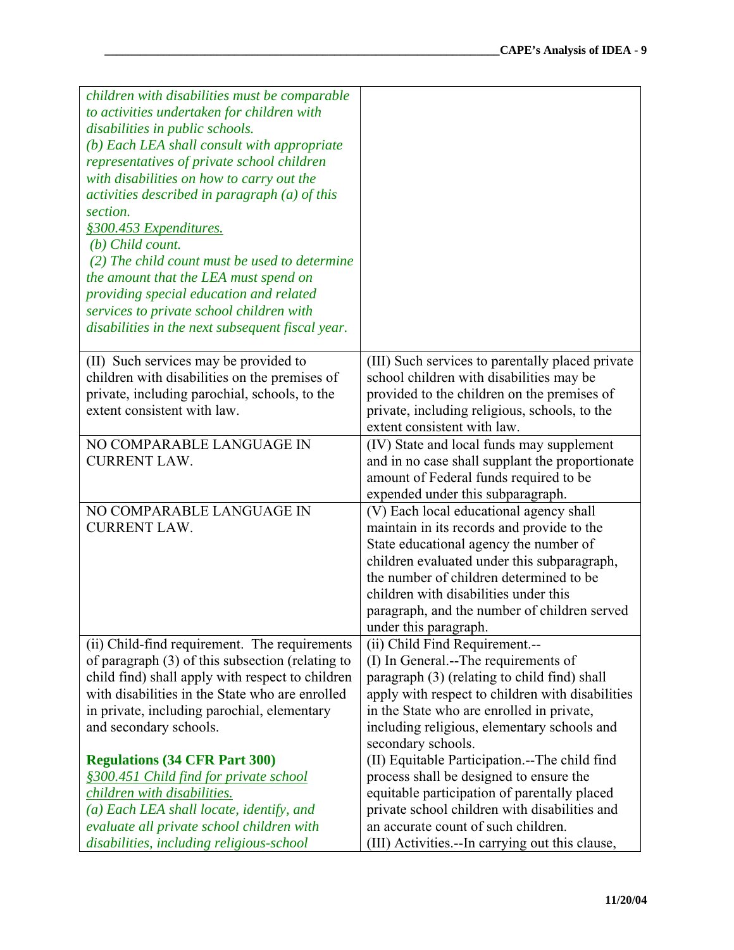| children with disabilities must be comparable<br>to activities undertaken for children with<br>disabilities in public schools.<br>(b) Each LEA shall consult with appropriate<br>representatives of private school children<br>with disabilities on how to carry out the<br>activities described in paragraph (a) of this<br>section.<br>§300.453 Expenditures.<br>$(b)$ Child count.<br>$(2)$ The child count must be used to determine<br>the amount that the LEA must spend on<br>providing special education and related<br>services to private school children with<br>disabilities in the next subsequent fiscal year. |                                                                                                                                                                                                                                                                                                                                             |
|------------------------------------------------------------------------------------------------------------------------------------------------------------------------------------------------------------------------------------------------------------------------------------------------------------------------------------------------------------------------------------------------------------------------------------------------------------------------------------------------------------------------------------------------------------------------------------------------------------------------------|---------------------------------------------------------------------------------------------------------------------------------------------------------------------------------------------------------------------------------------------------------------------------------------------------------------------------------------------|
| (II) Such services may be provided to<br>children with disabilities on the premises of<br>private, including parochial, schools, to the<br>extent consistent with law.                                                                                                                                                                                                                                                                                                                                                                                                                                                       | (III) Such services to parentally placed private<br>school children with disabilities may be<br>provided to the children on the premises of<br>private, including religious, schools, to the<br>extent consistent with law.                                                                                                                 |
| NO COMPARABLE LANGUAGE IN<br><b>CURRENT LAW.</b>                                                                                                                                                                                                                                                                                                                                                                                                                                                                                                                                                                             | (IV) State and local funds may supplement<br>and in no case shall supplant the proportionate<br>amount of Federal funds required to be<br>expended under this subparagraph.                                                                                                                                                                 |
| NO COMPARABLE LANGUAGE IN<br><b>CURRENT LAW.</b>                                                                                                                                                                                                                                                                                                                                                                                                                                                                                                                                                                             | (V) Each local educational agency shall<br>maintain in its records and provide to the<br>State educational agency the number of<br>children evaluated under this subparagraph,<br>the number of children determined to be<br>children with disabilities under this<br>paragraph, and the number of children served<br>under this paragraph. |
| (ii) Child-find requirement. The requirements<br>of paragraph (3) of this subsection (relating to<br>child find) shall apply with respect to children<br>with disabilities in the State who are enrolled<br>in private, including parochial, elementary<br>and secondary schools.                                                                                                                                                                                                                                                                                                                                            | (ii) Child Find Requirement.--<br>(I) In General.--The requirements of<br>paragraph (3) (relating to child find) shall<br>apply with respect to children with disabilities<br>in the State who are enrolled in private,<br>including religious, elementary schools and<br>secondary schools.                                                |
| <b>Regulations (34 CFR Part 300)</b><br>§300.451 Child find for private school<br>children with disabilities.<br>(a) Each LEA shall locate, identify, and<br>evaluate all private school children with<br>disabilities, including religious-school                                                                                                                                                                                                                                                                                                                                                                           | (II) Equitable Participation.--The child find<br>process shall be designed to ensure the<br>equitable participation of parentally placed<br>private school children with disabilities and<br>an accurate count of such children.<br>(III) Activities.--In carrying out this clause,                                                         |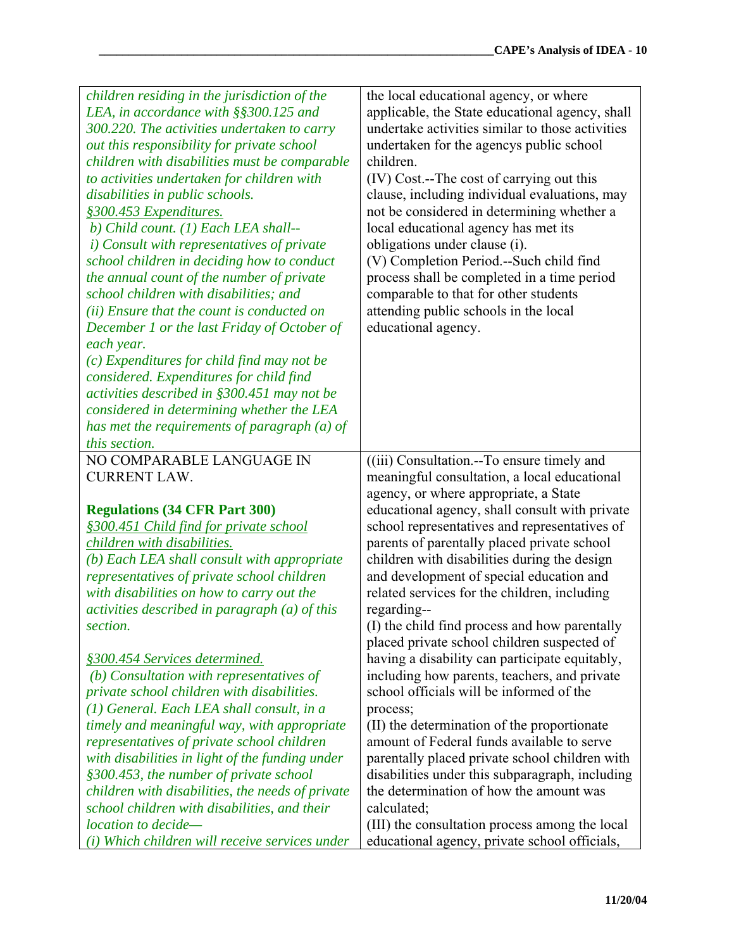| children residing in the jurisdiction of the<br>LEA, in accordance with §§300.125 and | the local educational agency, or where<br>applicable, the State educational agency, shall       |
|---------------------------------------------------------------------------------------|-------------------------------------------------------------------------------------------------|
| 300.220. The activities undertaken to carry                                           | undertake activities similar to those activities                                                |
| out this responsibility for private school                                            | undertaken for the agencys public school                                                        |
| children with disabilities must be comparable                                         | children.                                                                                       |
| to activities undertaken for children with                                            | (IV) Cost.--The cost of carrying out this                                                       |
| disabilities in public schools.                                                       | clause, including individual evaluations, may                                                   |
| §300.453 Expenditures.                                                                | not be considered in determining whether a                                                      |
| b) Child count. $(1)$ Each LEA shall--                                                | local educational agency has met its                                                            |
| <i>i</i> ) Consult with representatives of private                                    | obligations under clause (i).                                                                   |
| school children in deciding how to conduct                                            | (V) Completion Period.--Such child find                                                         |
| the annual count of the number of private                                             | process shall be completed in a time period                                                     |
| school children with disabilities; and                                                | comparable to that for other students                                                           |
| (ii) Ensure that the count is conducted on                                            | attending public schools in the local                                                           |
| December 1 or the last Friday of October of                                           | educational agency.                                                                             |
| each year.                                                                            |                                                                                                 |
| $(c)$ Expenditures for child find may not be                                          |                                                                                                 |
| considered. Expenditures for child find                                               |                                                                                                 |
| activities described in §300.451 may not be                                           |                                                                                                 |
| considered in determining whether the LEA                                             |                                                                                                 |
| has met the requirements of paragraph $(a)$ of                                        |                                                                                                 |
| this section.                                                                         |                                                                                                 |
| NO COMPARABLE LANGUAGE IN                                                             | ((iii) Consultation.--To ensure timely and                                                      |
| <b>CURRENT LAW.</b>                                                                   | meaningful consultation, a local educational                                                    |
|                                                                                       | agency, or where appropriate, a State                                                           |
| <b>Regulations (34 CFR Part 300)</b>                                                  | educational agency, shall consult with private                                                  |
| §300.451 Child find for private school                                                | school representatives and representatives of                                                   |
| children with disabilities.                                                           | parents of parentally placed private school                                                     |
| (b) Each LEA shall consult with appropriate                                           | children with disabilities during the design                                                    |
| representatives of private school children                                            | and development of special education and                                                        |
| with disabilities on how to carry out the                                             | related services for the children, including                                                    |
| activities described in paragraph (a) of this                                         | regarding--                                                                                     |
| section.                                                                              |                                                                                                 |
|                                                                                       | (I) the child find process and how parentally                                                   |
|                                                                                       | placed private school children suspected of                                                     |
| §300.454 Services determined.                                                         | having a disability can participate equitably,                                                  |
| (b) Consultation with representatives of                                              | including how parents, teachers, and private                                                    |
| private school children with disabilities.                                            | school officials will be informed of the                                                        |
| $(1)$ General. Each LEA shall consult, in a                                           | process;                                                                                        |
| timely and meaningful way, with appropriate                                           | (II) the determination of the proportionate                                                     |
| representatives of private school children                                            | amount of Federal funds available to serve                                                      |
| with disabilities in light of the funding under                                       | parentally placed private school children with                                                  |
| §300.453, the number of private school                                                | disabilities under this subparagraph, including                                                 |
| children with disabilities, the needs of private                                      | the determination of how the amount was                                                         |
| school children with disabilities, and their                                          | calculated;                                                                                     |
| location to decide-<br>(i) Which children will receive services under                 | (III) the consultation process among the local<br>educational agency, private school officials, |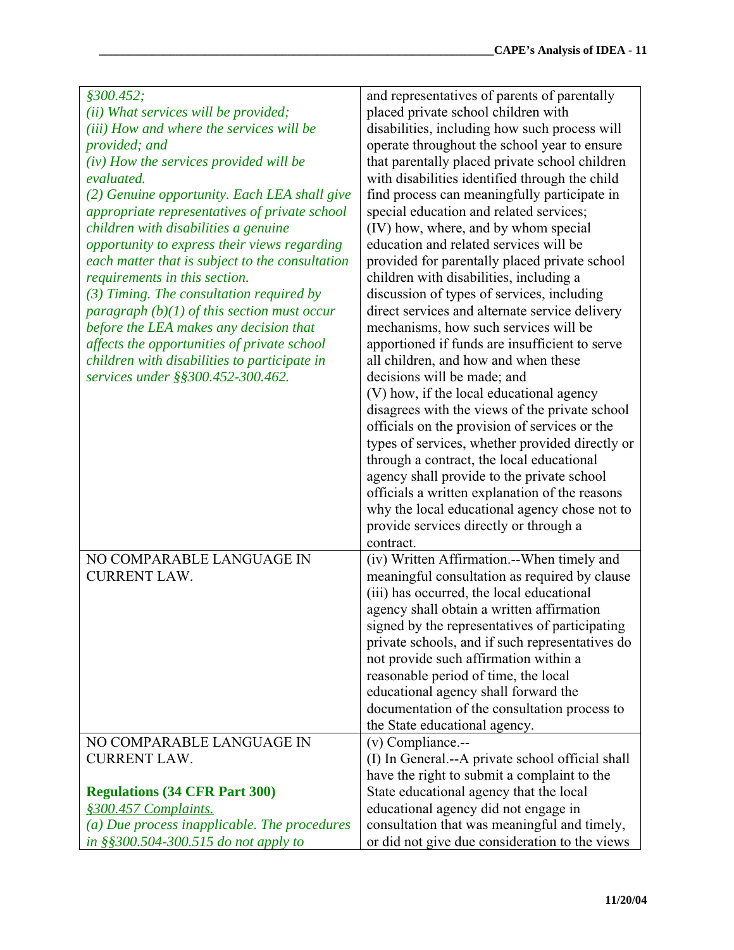| \$300.452;                                      | and representatives of parents of parentally                          |
|-------------------------------------------------|-----------------------------------------------------------------------|
| (ii) What services will be provided;            | placed private school children with                                   |
| (iii) How and where the services will be        | disabilities, including how such process will                         |
| provided; and                                   | operate throughout the school year to ensure                          |
| (iv) How the services provided will be          | that parentally placed private school children                        |
| evaluated.                                      | with disabilities identified through the child                        |
| (2) Genuine opportunity. Each LEA shall give    | find process can meaningfully participate in                          |
| appropriate representatives of private school   | special education and related services;                               |
| children with disabilities a genuine            | (IV) how, where, and by whom special                                  |
| opportunity to express their views regarding    | education and related services will be                                |
| each matter that is subject to the consultation | provided for parentally placed private school                         |
| requirements in this section.                   | children with disabilities, including a                               |
| $(3)$ Timing. The consultation required by      | discussion of types of services, including                            |
| paragraph $(b)(1)$ of this section must occur   | direct services and alternate service delivery                        |
| before the LEA makes any decision that          | mechanisms, how such services will be                                 |
| affects the opportunities of private school     | apportioned if funds are insufficient to serve                        |
| children with disabilities to participate in    | all children, and how and when these                                  |
| services under §§300.452-300.462.               | decisions will be made; and                                           |
|                                                 | (V) how, if the local educational agency                              |
|                                                 | disagrees with the views of the private school                        |
|                                                 | officials on the provision of services or the                         |
|                                                 | types of services, whether provided directly or                       |
|                                                 | through a contract, the local educational                             |
|                                                 | agency shall provide to the private school                            |
|                                                 | officials a written explanation of the reasons                        |
|                                                 | why the local educational agency chose not to                         |
|                                                 | provide services directly or through a                                |
|                                                 | contract.                                                             |
| NO COMPARABLE LANGUAGE IN                       | (iv) Written Affirmation.--When timely and                            |
| <b>CURRENT LAW.</b>                             | meaningful consultation as required by clause                         |
|                                                 | (iii) has occurred, the local educational                             |
|                                                 | agency shall obtain a written affirmation                             |
|                                                 | signed by the representatives of participating                        |
|                                                 | private schools, and if such representatives do                       |
|                                                 | not provide such affirmation within a                                 |
|                                                 | reasonable period of time, the local                                  |
|                                                 | educational agency shall forward the                                  |
|                                                 | documentation of the consultation process to                          |
| NO COMPARABLE LANGUAGE IN                       | the State educational agency.                                         |
| <b>CURRENT LAW.</b>                             | (v) Compliance.--<br>(I) In General.--A private school official shall |
|                                                 | have the right to submit a complaint to the                           |
| <b>Regulations (34 CFR Part 300)</b>            | State educational agency that the local                               |
| §300.457 Complaints.                            | educational agency did not engage in                                  |
| $(a)$ Due process inapplicable. The procedures  | consultation that was meaningful and timely,                          |
| in §§300.504-300.515 do not apply to            | or did not give due consideration to the views                        |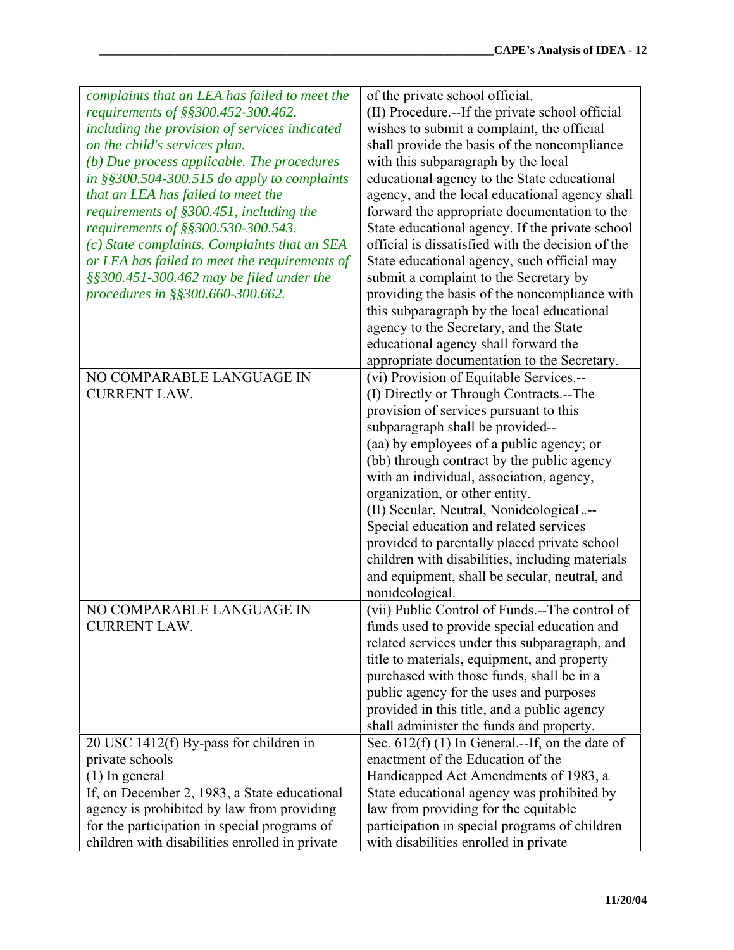| complaints that an LEA has failed to meet the  | of the private school official.                   |
|------------------------------------------------|---------------------------------------------------|
| requirements of §§300.452-300.462,             | (II) Procedure.--If the private school official   |
| including the provision of services indicated  | wishes to submit a complaint, the official        |
| on the child's services plan.                  | shall provide the basis of the noncompliance      |
| (b) Due process applicable. The procedures     | with this subparagraph by the local               |
| in §§300.504-300.515 do apply to complaints    | educational agency to the State educational       |
| that an LEA has failed to meet the             | agency, and the local educational agency shall    |
| requirements of $$300.451$ , including the     | forward the appropriate documentation to the      |
| requirements of §§300.530-300.543.             | State educational agency. If the private school   |
| (c) State complaints. Complaints that an SEA   | official is dissatisfied with the decision of the |
| or LEA has failed to meet the requirements of  | State educational agency, such official may       |
| §§300.451-300.462 may be filed under the       | submit a complaint to the Secretary by            |
| procedures in §§300.660-300.662.               | providing the basis of the noncompliance with     |
|                                                | this subparagraph by the local educational        |
|                                                | agency to the Secretary, and the State            |
|                                                | educational agency shall forward the              |
|                                                | appropriate documentation to the Secretary.       |
| NO COMPARABLE LANGUAGE IN                      | (vi) Provision of Equitable Services.--           |
| <b>CURRENT LAW.</b>                            | (I) Directly or Through Contracts.--The           |
|                                                | provision of services pursuant to this            |
|                                                | subparagraph shall be provided--                  |
|                                                | (aa) by employees of a public agency; or          |
|                                                | (bb) through contract by the public agency        |
|                                                | with an individual, association, agency,          |
|                                                | organization, or other entity.                    |
|                                                | (II) Secular, Neutral, NonideologicaL.--          |
|                                                | Special education and related services            |
|                                                | provided to parentally placed private school      |
|                                                | children with disabilities, including materials   |
|                                                | and equipment, shall be secular, neutral, and     |
|                                                | nonideological.                                   |
| NO COMPARABLE LANGUAGE IN                      | (vii) Public Control of Funds.--The control of    |
| <b>CURRENT LAW.</b>                            | funds used to provide special education and       |
|                                                | related services under this subparagraph, and     |
|                                                | title to materials, equipment, and property       |
|                                                | purchased with those funds, shall be in a         |
|                                                | public agency for the uses and purposes           |
|                                                | provided in this title, and a public agency       |
|                                                | shall administer the funds and property.          |
| 20 USC 1412(f) By-pass for children in         | Sec. $612(f)(1)$ In General.--If, on the date of  |
| private schools                                | enactment of the Education of the                 |
| $(1)$ In general                               | Handicapped Act Amendments of 1983, a             |
| If, on December 2, 1983, a State educational   | State educational agency was prohibited by        |
| agency is prohibited by law from providing     | law from providing for the equitable              |
| for the participation in special programs of   | participation in special programs of children     |
| children with disabilities enrolled in private | with disabilities enrolled in private             |